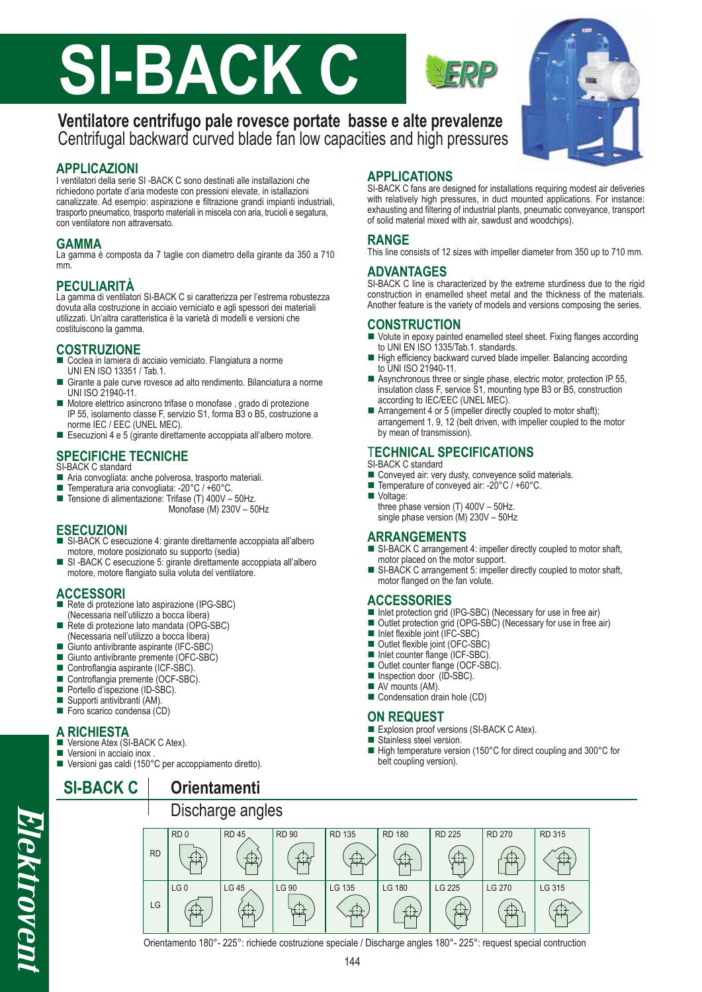# **SI-BACK C**

# **Ventilatore centrifugo pale rovesce portate basse e alte prevalenze** Centrifugal backward curved blade fan low capacities and high pressures

# **APPLICAZIONI**

I ventilatori della serie SI -BACK C sono destinati alle installazioni che richiedono portate d'aria modeste con pressioni elevate, in istallazioni canalizzate. Ad esempio: aspirazione e filtrazione grandi impianti industriali, trasporto pneumatico, trasporto materiali in miscela con aria, trucioli e segatura, con ventilatore non attraversato.

## **GAMMA**

La gamma è composta da 7 taglie con diametro della girante da 350 a 710 mm.

# **PECULIARITÀ**

La gamma di ventilatori SI-BACK C si caratterizza per l'estrema robustezza dovuta alla costruzione in acciaio verniciato e agli spessori dei materiali utilizzati. Un'altra caratteristica è la varietà di modelli e versioni che costituiscono la gamma.

# **COSTRUZIONE**

- Coclea in lamiera di acciaio verniciato. Flangiatura a norme UNI EN ISO 13351 / Tab.1.
- Girante a pale curve rovesce ad alto rendimento. Bilanciatura a norme UNI ISO 21940-11.
- Motore elettrico asincrono trifase o monofase , grado di protezione IP 55, isolamento classe F, servizio S1, forma B3 o B5, costruzione a norme IEC / EEC (UNEL MEC).
- Esecuzioni 4 e 5 (girante direttamente accoppiata all'albero motore.

#### **SPECIFICHE TECNICHE** SI-BACK C standard

- Aria convogliata: anche polverosa, trasporto materiali.
- Temperatura aria convogliata: -20°C / +60°C.
- Tensione di alimentazione: Trifase (T) 400V 50Hz.
	- Monofase (M) 230V 50Hz

# **ESECUZIONI**

- SI-BACK C esecuzione 4: girante direttamente accoppiata all'albero motore, motore posizionato su supporto (sedia)
- SI -BACK C esecuzione 5: girante direttamente accoppiata all'albero motore, motore flangiato sulla voluta del ventilatore.

# **ACCESSORI**

- Rete di protezione lato aspirazione (IPG-SBC) (Necessaria nell'utilizzo a bocca libera)
- Rete di protezione lato mandata (OPG-SBC) (Necessaria nell'utilizzo a bocca libera)
- Giunto antivibrante aspirante (IFC-SBC)
- Giunto antivibrante premente (OFC-SBC)
- Controflangia aspirante (ICF-SBC)
- Controflangia premente (OCF-SBC).
- Portello d'ispezione (ID-SBC).
- Supporti antivibranti (AM).
- Foro scarico condensa (CD)

# **A RICHIESTA**

- Versione Atex (SI-BACK C Atex).
- Versioni in acciaio inox.
- Versioni gas caldi (150°C per accoppiamento diretto). **SI-BACK C | Orientamenti**

# **APPLICATIONS**

SI-BACK C fans are designed for installations requiring modest air deliveries with relatively high pressures, in duct mounted applications. For instance: exhausting and filtering of industrial plants, pneumatic conveyance, transport of solid material mixed with air, sawdust and woodchips).

## **RANGE**

This line consists of 12 sizes with impeller diameter from 350 up to 710 mm.

# **ADVANTAGES**

SI-BACK C line is characterized by the extreme sturdiness due to the rigid construction in enamelled sheet metal and the thickness of the materials. Another feature is the variety of models and versions composing the series.

## **CONSTRUCTION**

- Volute in epoxy painted enamelled steel sheet. Fixing flanges according to UNI EN ISO 1335/Tab.1. standards.
- High efficiency backward curved blade impeller. Balancing according to UNI ISO 21940-11.
- Asynchronous three or single phase, electric motor, protection IP 55, insulation class F, service S1, mounting type B3 or B5, construction according to IEC/EEC (UNEL MEC).
- Arrangement 4 or 5 (impeller directly coupled to motor shaft); arrangement 1, 9, 12 (belt driven, with impeller coupled to the motor by mean of transmission).

# T**ECHNICAL SPECIFICATIONS**

- SI-BACK C standard
- Conveyed air: very dusty, conveyence solid materials.
- Temperature of conveyed air: -20°C / +60°C.
- Voltage:
- three phase version (T) 400V 50Hz. single phase version (M) 230V - 50Hz

#### **ARRANGEMENTS**

- SI-BACK C arrangement 4: impeller directly coupled to motor shaft, motor placed on the motor support.
- SI-BACK C arrangement 5: impeller directly coupled to motor shaft, motor flanged on the fan volute.

#### **ACCESSORIES**

- Inlet protection grid (IPG-SBC) (Necessary for use in free air)
- Outlet protection grid (OPG-SBC) (Necessary for use in free air)
- $\blacksquare$  Inlet flexible joint (IFC-SBC)
- Outlet flexible joint (OFC-SBC)
- Inlet counter flange (ICF-SBC)
- Outlet counter flange (OCF-SBC).
- Inspection door (ID-SBC).
- AV mounts (AM).
- Condensation drain hole (CD)

#### **ON REQUEST**

- Explosion proof versions (SI-BACK C Atex).
- Stainless steel version.
- High temperature version (150°C for direct coupling and 300°C for belt coupling version).



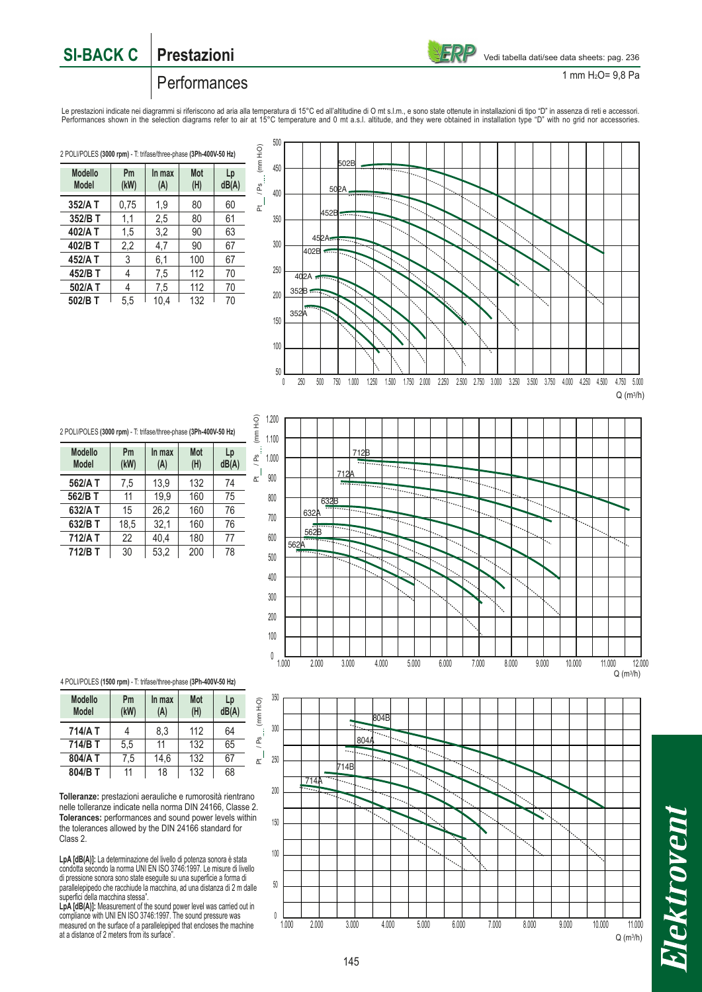

1 mm H2O= 9,8 Pa

# Performances

Le prestazioni indicate nei diagrammi si riferiscono ad aria alla temperatura di 15°C ed all'altitudine di O mt s.l.m., e sono state ottenute in installazioni di tipo "D" in assenza di reti e accessori.<br>Performances shown

**Modello Pm In max Mot Lp Model (kW) (A) (H) dB(A) 352/A T** 0.75 1.9 80 60 **352/B T** 1.1 2.5 80 61 **402/A T** 1,5 3,2 90 63 **402/B T** 2,2 4,7 90 67 **452/A T** | 3 | 6,1 | 100 | 67 **452/B T** | 4 | 7,5 | 112 | 70 **502/A T** | 4 | 7,5 | 112 | 70 **502/B T 5**,5 10,4 132 70 2 POLI/POLES **(3000 rpm)** - T: trifase/three-phase **(3Ph-400V-50 Hz)**



Modello Pm In max Mot Lp<br>Model (kW) (A) (H) dB(A) **Model (kW) (A) (H) dB(A) 562/A T** | 7,5 | 13,9 | 132 | 74 **562/B T** 11 19,9 160 75 **632/A T** 15 26.2 160 76 **632/B T** 18,5 32,1 160 76<br>**712/A T** 22 40.4 180 77 **712/A T** 22 40.4 180 77 **712/B T** | 30 | 53,2 | 200 | 78 2 POLI/POLES **(3000 rpm)** - T: trifase/three-phase **(3Ph-400V-50 Hz)**



4 POLI/POLES **(1500 rpm)** - T: trifase/three-phase **(3Ph-400V-50 Hz)**

| <b>Modello</b><br><b>Model</b> | Pm<br>(kW) | In max<br>(A) | <b>Mot</b><br>(H) | Lp<br>dB(A) |  |
|--------------------------------|------------|---------------|-------------------|-------------|--|
| 714/A T                        |            | 8.3           | 112               | 64          |  |
| 714/B T                        | 5.5        | 11            | 132               | 65          |  |
| 804/A T                        | 7,5        | 14,6          | 132               | 67          |  |
| 804/B T                        | 11         | 18            | 132               | 68          |  |

**Tolleranze:** prestazioni aerauliche e rumorosità rientrano nelle tolleranze indicate nella norma DIN 24166, Classe 2. **Tolerances:** performances and sound power levels within the tolerances allowed by the DIN 24166 standard for Class 2.

**LpA [dB(A)]:** La determinazione del livello di potenza sonora è stata condotta secondo la norma UNI EN ISO 3746:1997. Le misure di livello di pressione sonora sono state eseguite su una superficie a forma di parallelepipedo che racchiude la macchina, ad una distanza di 2 m dalle superfici della macchina stessa".

LpA [dB(A)]: Measurement of the sound power level was carried out in compliance with UNI EN ISO 3746:1997. The sound pressure was measured on the surface of a parallelepiped that encloses the machine at a distance of 2 meters from its surface".

![](_page_1_Figure_15.jpeg)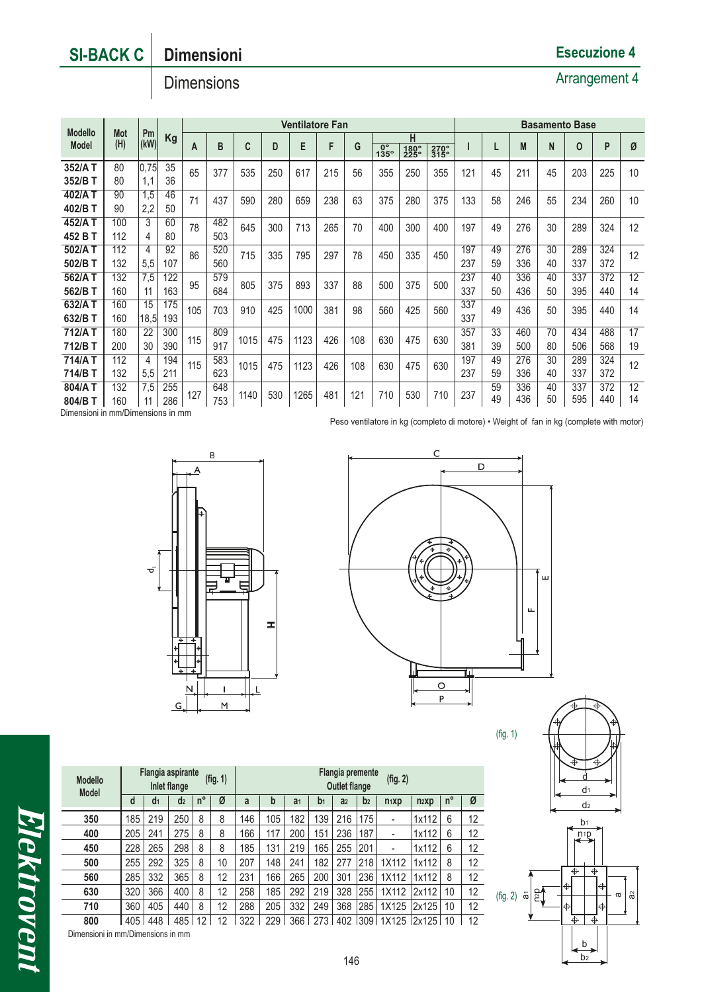# **SI-BACK C Dimensioni**

# **Dimensions**

|                |                     |            |     |                   | <b>Ventilatore Fan</b> |      |     |      |     |     |                   |              | <b>Basamento Base</b> |     |     |     |     |             |     |    |
|----------------|---------------------|------------|-----|-------------------|------------------------|------|-----|------|-----|-----|-------------------|--------------|-----------------------|-----|-----|-----|-----|-------------|-----|----|
| <b>Modello</b> | <b>Mot</b>          | Pm<br>(kW) | Kg  | B<br>A            |                        |      |     |      |     | н   |                   |              |                       |     |     |     |     |             |     |    |
|                | (H)<br><b>Model</b> |            |     |                   |                        | C    | D   | E    | F   | G   | $\frac{0}{135}$ ° | 180°<br>225° | 270°<br>315°          |     |     | M   | N   | $\mathbf 0$ | P   | Ø  |
| 352/A T        | 80                  | 0.75       | 35  | 65<br>377         |                        | 535  | 250 | 617  | 215 | 56  | 355<br>250        | 355          | 121                   | 45  | 211 | 45  | 203 | 225         | 10  |    |
| 352/B T        | 80                  | 1.1        | 36  |                   |                        |      |     |      |     |     |                   |              |                       |     |     |     |     |             |     |    |
| 402/A T        | 90                  | 1,5        | 46  | 71<br>437         |                        | 590  | 280 | 659  | 238 | 63  | 375               | 280          | 375                   | 133 | 58  | 246 | 55  | 234         | 260 | 10 |
| 402/B T        | 90                  | 2,2        | 50  |                   |                        |      |     |      |     |     |                   |              |                       |     |     |     |     |             |     |    |
| 452/A T        | 100                 | 3          | 60  | 78                | 482                    | 645  | 300 | 713  | 265 | 70  | 400               | 300          | 400                   | 197 | 49  | 276 | 30  | 289         | 324 | 12 |
| 452 B T        | 112                 | 4          | 80  |                   | 503                    |      |     |      |     |     |                   |              |                       |     |     |     |     |             |     |    |
| 502/A T        | 112                 | 4          | 92  | 520<br>86<br>560  |                        | 715  | 335 | 795  | 297 | 78  | 335<br>450        |              | 450                   | 197 | 49  | 276 | 30  | 289         | 324 | 12 |
| 502/B T        | 132                 | 5,5        | 107 |                   |                        |      |     |      |     |     |                   |              |                       | 237 | 59  | 336 | 40  | 337         | 372 |    |
| 562/A T        | 132                 | 7,5        | 122 |                   | 579                    |      |     |      |     | 88  |                   |              |                       | 237 | 40  | 336 | 40  | 337         | 372 | 12 |
| 562/B T        | 160                 | 11         | 163 | 95                | 684                    | 805  | 375 | 893  | 337 |     | 500               | 375          | 500                   | 337 | 50  | 436 | 50  | 395         | 440 | 14 |
| 632/A T        | 160                 | 15         | 175 | 105<br>703        |                        | 910  | 425 | 1000 | 381 | 98  | 560               | 425          | 560                   | 337 | 49  | 436 | 50  | 395         | 440 | 14 |
| 632/B T        | 160                 | 18.5       | 193 |                   |                        |      |     |      |     |     |                   |              |                       | 337 |     |     |     |             |     |    |
| 712/AT         | 180                 | 22         | 300 |                   | 809                    | 1015 | 475 | 1123 | 426 | 108 | 630               | 475          | 630                   | 357 | 33  | 460 | 70  | 434         | 488 | 17 |
| 712/B T        | 200                 | 30         | 390 | 115               | 917                    |      |     |      |     |     |                   |              |                       | 381 | 39  | 500 | 80  | 506         | 568 | 19 |
| 714/A T        | 112                 | 4          | 194 | 583<br>115<br>623 |                        | 1015 | 475 | 1123 | 426 | 108 | 630               | 475          | 630                   | 197 | 49  | 276 | 30  | 289         | 324 | 12 |
| 714/B T        | 132                 | 5,5        | 211 |                   |                        |      |     |      |     |     |                   |              |                       | 237 | 59  | 336 | 40  | 337         | 372 |    |
| 804/AT         | 132                 | 7,5        | 255 | 127               | 648                    | 1140 |     |      |     |     |                   |              |                       | 237 | 59  | 336 | 40  | 337         | 372 | 12 |
| 804/B T        | 160                 |            | 286 |                   | 753                    |      | 530 | 1265 | 481 | 121 | 710               | 530          | 710                   |     | 49  | 436 | 50  | 595         | 440 | 14 |

Dimensioni in mm/Dimensions in mm

Peso ventilatore in kg (completo di motore) • Weight of fan in kg (complete with motor)

![](_page_2_Figure_6.jpeg)

![](_page_2_Figure_7.jpeg)

(fig. 1)

![](_page_2_Figure_9.jpeg)

*Elektrovent* 

**Flangia aspirante Inlet flange Flangia premente Outlet flange (fig. 1) (fig. 2) d d1 d2 n° Ø a b a1 b1 a2 b2 n1xp n2xp n° Ø** <mark>350 | 1</mark>85 | 219 | 250 | 8 | 8 | 146 | 105 | 182 | 139 | 216 |175 | - |1x112 | 6 | 12 **400 |** 205 | 241 | 275 | 8 | 8 | 166 | 117 | 200 | 151 | 236 |187 | - |1x112 | 6 | 12 **450 |** 228 | 265 | 298 | 8 | 8 | 185 | 131 | 219 | 165 | 255 |201 | - |1x112 | 6 | 12 **500 |** 255 | 292 | 325 | 8 | 10 | 207 | 148 | 241 | 182 | 277 |218 | 1X112 |1x112 | 8 | 12 **560 |** 285 | 332 | 365 | 8 | 12 | 231 | 166 | 265 | 200 | 301 |236 | 1X112 |1x112 | 8 | 12 **630 |** 320 | 366 | 400 | 8 | 12 | 258 | 185 | 292 | 219 | 328 |255 | 1X112 |2x112 | 10 | 12 **710** 360 405 440 8 12 288 205 332 249 368 285 1X125 2x125 10 12 **800 405 448 485 12 12 322 229 366 273 402 309 1X125 2x125 10 12** Dimensioni in mm/Dimensions in mm **Modello Model**

# **Esecuzione 4**

# Arrangement 4